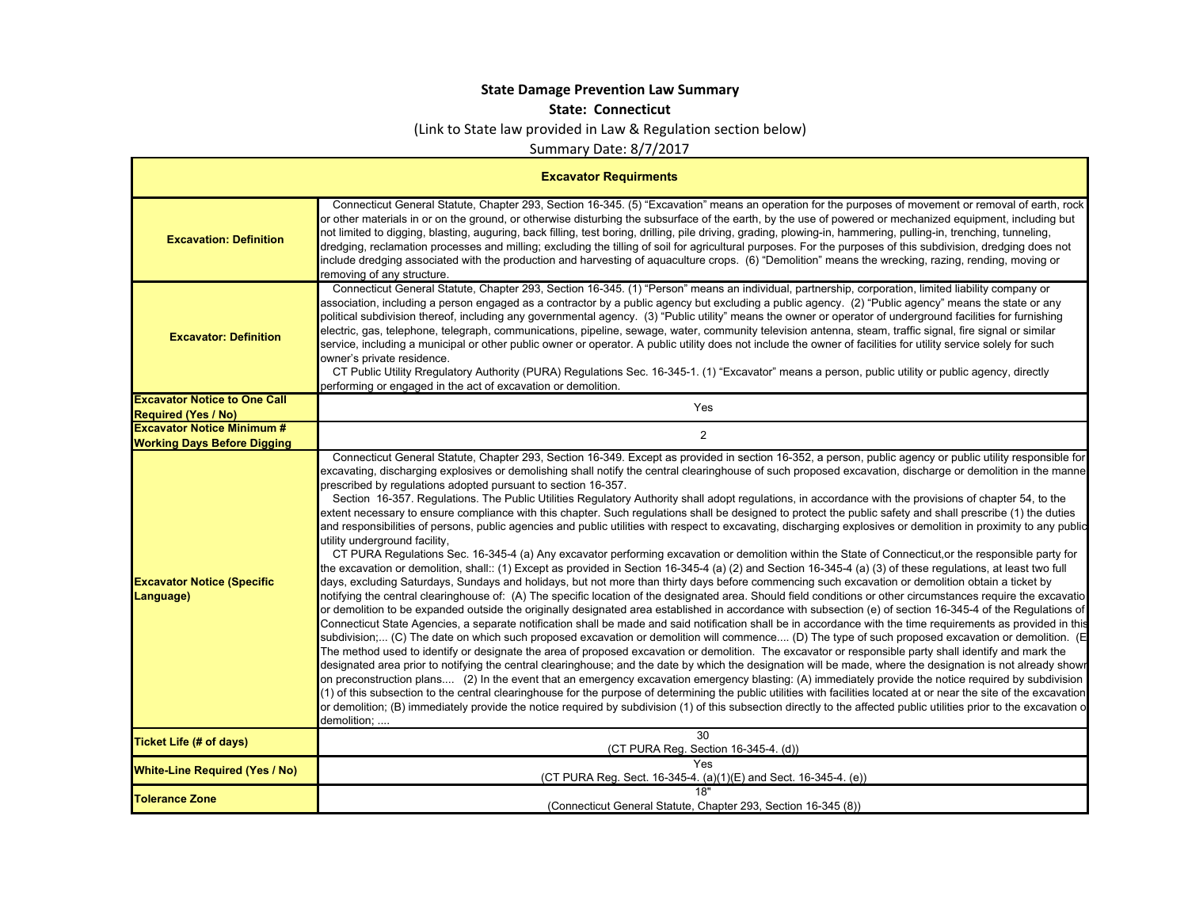## **State Damage Prevention Law Summary**

## **State: Connecticut**

(Link to State law provided in Law & Regulation section below)

Summary Date: 8/7/2017

| <b>Excavator Requirments</b>                                      |                                                                                                                                                                                                                                                                                                                                                                                                                                                                                                                                                                                                                                                                                                                                                                                                                                                                                                                                                                                                                                                                                                                                                                                                                                                                                                                                                                                                                                                                                                                                                                                                                                                                                                                                                                                                                                                                                                                                                                                                                                                                                                                                                                                                                                                                                                                                                                                                                                                                                                                                                                                                                                                                                                                                                                                                                                                                                                                    |
|-------------------------------------------------------------------|--------------------------------------------------------------------------------------------------------------------------------------------------------------------------------------------------------------------------------------------------------------------------------------------------------------------------------------------------------------------------------------------------------------------------------------------------------------------------------------------------------------------------------------------------------------------------------------------------------------------------------------------------------------------------------------------------------------------------------------------------------------------------------------------------------------------------------------------------------------------------------------------------------------------------------------------------------------------------------------------------------------------------------------------------------------------------------------------------------------------------------------------------------------------------------------------------------------------------------------------------------------------------------------------------------------------------------------------------------------------------------------------------------------------------------------------------------------------------------------------------------------------------------------------------------------------------------------------------------------------------------------------------------------------------------------------------------------------------------------------------------------------------------------------------------------------------------------------------------------------------------------------------------------------------------------------------------------------------------------------------------------------------------------------------------------------------------------------------------------------------------------------------------------------------------------------------------------------------------------------------------------------------------------------------------------------------------------------------------------------------------------------------------------------------------------------------------------------------------------------------------------------------------------------------------------------------------------------------------------------------------------------------------------------------------------------------------------------------------------------------------------------------------------------------------------------------------------------------------------------------------------------------------------------|
| <b>Excavation: Definition</b>                                     | Connecticut General Statute, Chapter 293, Section 16-345. (5) "Excavation" means an operation for the purposes of movement or removal of earth, rock<br>or other materials in or on the ground, or otherwise disturbing the subsurface of the earth, by the use of powered or mechanized equipment, including but<br>not limited to digging, blasting, auguring, back filling, test boring, drilling, pile driving, grading, plowing-in, hammering, pulling-in, trenching, tunneling,<br>dredging, reclamation processes and milling; excluding the tilling of soil for agricultural purposes. For the purposes of this subdivision, dredging does not<br>include dredging associated with the production and harvesting of aquaculture crops. (6) "Demolition" means the wrecking, razing, rending, moving or<br>removing of any structure.                                                                                                                                                                                                                                                                                                                                                                                                                                                                                                                                                                                                                                                                                                                                                                                                                                                                                                                                                                                                                                                                                                                                                                                                                                                                                                                                                                                                                                                                                                                                                                                                                                                                                                                                                                                                                                                                                                                                                                                                                                                                       |
| <b>Excavator: Definition</b>                                      | Connecticut General Statute, Chapter 293, Section 16-345. (1) "Person" means an individual, partnership, corporation, limited liability company or<br>association, including a person engaged as a contractor by a public agency but excluding a public agency. (2) "Public agency" means the state or any<br>political subdivision thereof, including any governmental agency. (3) "Public utility" means the owner or operator of underground facilities for furnishing<br>electric, gas, telephone, telegraph, communications, pipeline, sewage, water, community television antenna, steam, traffic signal, fire signal or similar<br>service, including a municipal or other public owner or operator. A public utility does not include the owner of facilities for utility service solely for such<br>owner's private residence.<br>CT Public Utility Rregulatory Authority (PURA) Regulations Sec. 16-345-1. (1) "Excavator" means a person, public utility or public agency, directly<br>performing or engaged in the act of excavation or demolition.                                                                                                                                                                                                                                                                                                                                                                                                                                                                                                                                                                                                                                                                                                                                                                                                                                                                                                                                                                                                                                                                                                                                                                                                                                                                                                                                                                                                                                                                                                                                                                                                                                                                                                                                                                                                                                                    |
| <b>Excavator Notice to One Call</b><br><b>Required (Yes / No)</b> | Yes                                                                                                                                                                                                                                                                                                                                                                                                                                                                                                                                                                                                                                                                                                                                                                                                                                                                                                                                                                                                                                                                                                                                                                                                                                                                                                                                                                                                                                                                                                                                                                                                                                                                                                                                                                                                                                                                                                                                                                                                                                                                                                                                                                                                                                                                                                                                                                                                                                                                                                                                                                                                                                                                                                                                                                                                                                                                                                                |
| <b>Excavator Notice Minimum #</b>                                 | $\overline{2}$                                                                                                                                                                                                                                                                                                                                                                                                                                                                                                                                                                                                                                                                                                                                                                                                                                                                                                                                                                                                                                                                                                                                                                                                                                                                                                                                                                                                                                                                                                                                                                                                                                                                                                                                                                                                                                                                                                                                                                                                                                                                                                                                                                                                                                                                                                                                                                                                                                                                                                                                                                                                                                                                                                                                                                                                                                                                                                     |
| <b>Working Days Before Digging</b>                                |                                                                                                                                                                                                                                                                                                                                                                                                                                                                                                                                                                                                                                                                                                                                                                                                                                                                                                                                                                                                                                                                                                                                                                                                                                                                                                                                                                                                                                                                                                                                                                                                                                                                                                                                                                                                                                                                                                                                                                                                                                                                                                                                                                                                                                                                                                                                                                                                                                                                                                                                                                                                                                                                                                                                                                                                                                                                                                                    |
| <b>Excavator Notice (Specific</b><br>Language)                    | Connecticut General Statute, Chapter 293, Section 16-349. Except as provided in section 16-352, a person, public agency or public utility responsible for<br>excavating, discharging explosives or demolishing shall notify the central clearinghouse of such proposed excavation, discharge or demolition in the manne<br>prescribed by regulations adopted pursuant to section 16-357.<br>Section 16-357. Regulations. The Public Utilities Regulatory Authority shall adopt regulations, in accordance with the provisions of chapter 54, to the<br>extent necessary to ensure compliance with this chapter. Such requlations shall be designed to protect the public safety and shall prescribe (1) the duties<br>and responsibilities of persons, public agencies and public utilities with respect to excavating, discharging explosives or demolition in proximity to any public<br>utility underground facility,<br>CT PURA Regulations Sec. 16-345-4 (a) Any excavator performing excavation or demolition within the State of Connecticut, or the responsible party for<br>the excavation or demolition, shall:: (1) Except as provided in Section 16-345-4 (a) (2) and Section 16-345-4 (a) (3) of these regulations, at least two full<br>days, excluding Saturdays, Sundays and holidays, but not more than thirty days before commencing such excavation or demolition obtain a ticket by<br>notifying the central clearinghouse of: (A) The specific location of the designated area. Should field conditions or other circumstances require the excavatio<br>or demolition to be expanded outside the originally designated area established in accordance with subsection (e) of section 16-345-4 of the Regulations of<br>Connecticut State Agencies, a separate notification shall be made and said notification shall be in accordance with the time requirements as provided in this<br>subdivision; (C) The date on which such proposed excavation or demolition will commence (D) The type of such proposed excavation or demolition. (E<br>The method used to identify or designate the area of proposed excavation or demolition. The excavator or responsible party shall identify and mark the<br>designated area prior to notifying the central clearinghouse; and the date by which the designation will be made, where the designation is not already showr<br>on preconstruction plans (2) In the event that an emergency excavation emergency blasting: (A) immediately provide the notice required by subdivision<br>(1) of this subsection to the central clearinghouse for the purpose of determining the public utilities with facilities located at or near the site of the excavation<br>or demolition; (B) immediately provide the notice required by subdivision (1) of this subsection directly to the affected public utilities prior to the excavation o<br>demolition; |
| <b>Ticket Life (# of days)</b>                                    | 30<br>(CT PURA Reg. Section 16-345-4. (d))                                                                                                                                                                                                                                                                                                                                                                                                                                                                                                                                                                                                                                                                                                                                                                                                                                                                                                                                                                                                                                                                                                                                                                                                                                                                                                                                                                                                                                                                                                                                                                                                                                                                                                                                                                                                                                                                                                                                                                                                                                                                                                                                                                                                                                                                                                                                                                                                                                                                                                                                                                                                                                                                                                                                                                                                                                                                         |
| <b>White-Line Required (Yes / No)</b>                             | Yes<br>(CT PURA Reg. Sect. 16-345-4. (a)(1)(E) and Sect. 16-345-4. (e))                                                                                                                                                                                                                                                                                                                                                                                                                                                                                                                                                                                                                                                                                                                                                                                                                                                                                                                                                                                                                                                                                                                                                                                                                                                                                                                                                                                                                                                                                                                                                                                                                                                                                                                                                                                                                                                                                                                                                                                                                                                                                                                                                                                                                                                                                                                                                                                                                                                                                                                                                                                                                                                                                                                                                                                                                                            |
| <b>Tolerance Zone</b>                                             | (Connecticut General Statute, Chapter 293, Section 16-345 (8))                                                                                                                                                                                                                                                                                                                                                                                                                                                                                                                                                                                                                                                                                                                                                                                                                                                                                                                                                                                                                                                                                                                                                                                                                                                                                                                                                                                                                                                                                                                                                                                                                                                                                                                                                                                                                                                                                                                                                                                                                                                                                                                                                                                                                                                                                                                                                                                                                                                                                                                                                                                                                                                                                                                                                                                                                                                     |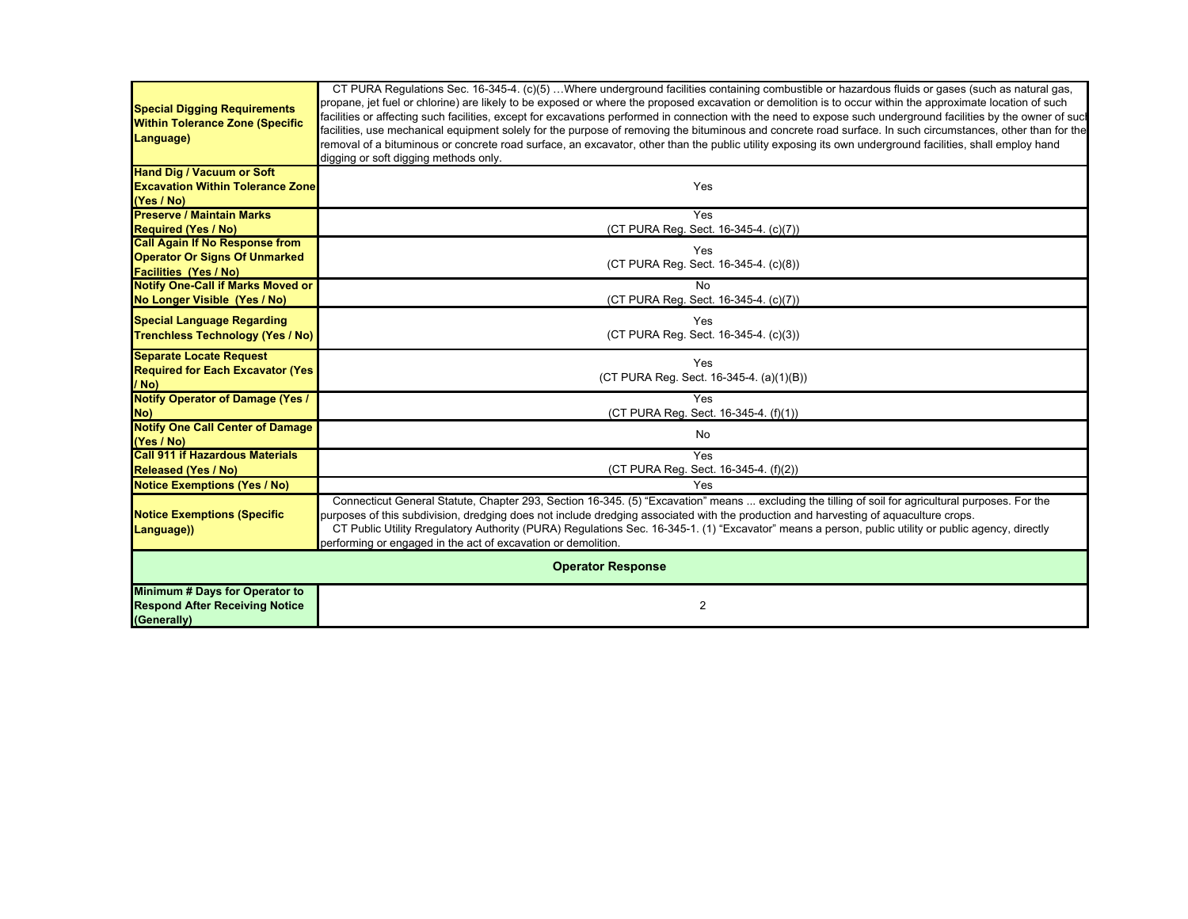|                                                                          | CT PURA Regulations Sec. 16-345-4. (c)(5) Where underground facilities containing combustible or hazardous fluids or gases (such as natural gas,                                                                                                                                                                                |
|--------------------------------------------------------------------------|---------------------------------------------------------------------------------------------------------------------------------------------------------------------------------------------------------------------------------------------------------------------------------------------------------------------------------|
| <b>Special Digging Requirements</b>                                      | propane, jet fuel or chlorine) are likely to be exposed or where the proposed excavation or demolition is to occur within the approximate location of such                                                                                                                                                                      |
| <b>Within Tolerance Zone (Specific</b>                                   | facilities or affecting such facilities, except for excavations performed in connection with the need to expose such underground facilities by the owner of sucl<br>facilities, use mechanical equipment solely for the purpose of removing the bituminous and concrete road surface. In such circumstances, other than for the |
| Language)                                                                | removal of a bituminous or concrete road surface, an excavator, other than the public utility exposing its own underground facilities, shall employ hand                                                                                                                                                                        |
|                                                                          | digging or soft digging methods only.                                                                                                                                                                                                                                                                                           |
| <b>Hand Dig / Vacuum or Soft</b>                                         |                                                                                                                                                                                                                                                                                                                                 |
| <b>Excavation Within Tolerance Zone</b>                                  | Yes                                                                                                                                                                                                                                                                                                                             |
| (Yes / No)                                                               |                                                                                                                                                                                                                                                                                                                                 |
| <b>Preserve / Maintain Marks</b>                                         | Yes                                                                                                                                                                                                                                                                                                                             |
| <b>Required (Yes / No)</b>                                               | (CT PURA Reg. Sect. 16-345-4. (c)(7))                                                                                                                                                                                                                                                                                           |
| <b>Call Again If No Response from</b>                                    | Yes                                                                                                                                                                                                                                                                                                                             |
| <b>Operator Or Signs Of Unmarked</b>                                     | (CT PURA Req. Sect. 16-345-4. (c)(8))                                                                                                                                                                                                                                                                                           |
| <b>Facilities (Yes / No)</b><br><b>Notify One-Call if Marks Moved or</b> | <b>No</b>                                                                                                                                                                                                                                                                                                                       |
| No Longer Visible (Yes / No)                                             | (CT PURA Reg. Sect. 16-345-4. (c)(7))                                                                                                                                                                                                                                                                                           |
|                                                                          |                                                                                                                                                                                                                                                                                                                                 |
| <b>Special Language Regarding</b>                                        | Yes                                                                                                                                                                                                                                                                                                                             |
| <b>Trenchless Technology (Yes / No)</b>                                  | (CT PURA Reg. Sect. 16-345-4. (c)(3))                                                                                                                                                                                                                                                                                           |
| <b>Separate Locate Request</b>                                           | Yes                                                                                                                                                                                                                                                                                                                             |
| <b>Required for Each Excavator (Yes)</b>                                 | (CT PURA Reg. Sect. 16-345-4. (a)(1)(B))                                                                                                                                                                                                                                                                                        |
| / No)                                                                    |                                                                                                                                                                                                                                                                                                                                 |
| <b>Notify Operator of Damage (Yes /</b>                                  | <b>Yes</b>                                                                                                                                                                                                                                                                                                                      |
| No)<br><b>Notify One Call Center of Damage</b>                           | (CT PURA Reg. Sect. 16-345-4. (f)(1))                                                                                                                                                                                                                                                                                           |
| (Yes / No)                                                               | No                                                                                                                                                                                                                                                                                                                              |
| <b>Call 911 if Hazardous Materials</b>                                   | Yes                                                                                                                                                                                                                                                                                                                             |
| <b>Released (Yes / No)</b>                                               | (CT PURA Reg. Sect. 16-345-4. (f)(2))                                                                                                                                                                                                                                                                                           |
| <b>Notice Exemptions (Yes / No)</b>                                      | Yes                                                                                                                                                                                                                                                                                                                             |
|                                                                          | Connecticut General Statute, Chapter 293, Section 16-345. (5) "Excavation" means  excluding the tilling of soil for agricultural purposes. For the                                                                                                                                                                              |
| <b>Notice Exemptions (Specific</b>                                       | purposes of this subdivision, dredging does not include dredging associated with the production and harvesting of aquaculture crops.                                                                                                                                                                                            |
| Language))                                                               | CT Public Utility Rregulatory Authority (PURA) Regulations Sec. 16-345-1. (1) "Excavator" means a person, public utility or public agency, directly                                                                                                                                                                             |
|                                                                          | performing or engaged in the act of excavation or demolition.                                                                                                                                                                                                                                                                   |
| <b>Operator Response</b>                                                 |                                                                                                                                                                                                                                                                                                                                 |
| Minimum # Days for Operator to                                           |                                                                                                                                                                                                                                                                                                                                 |
| <b>Respond After Receiving Notice</b>                                    | 2                                                                                                                                                                                                                                                                                                                               |
| (Generally)                                                              |                                                                                                                                                                                                                                                                                                                                 |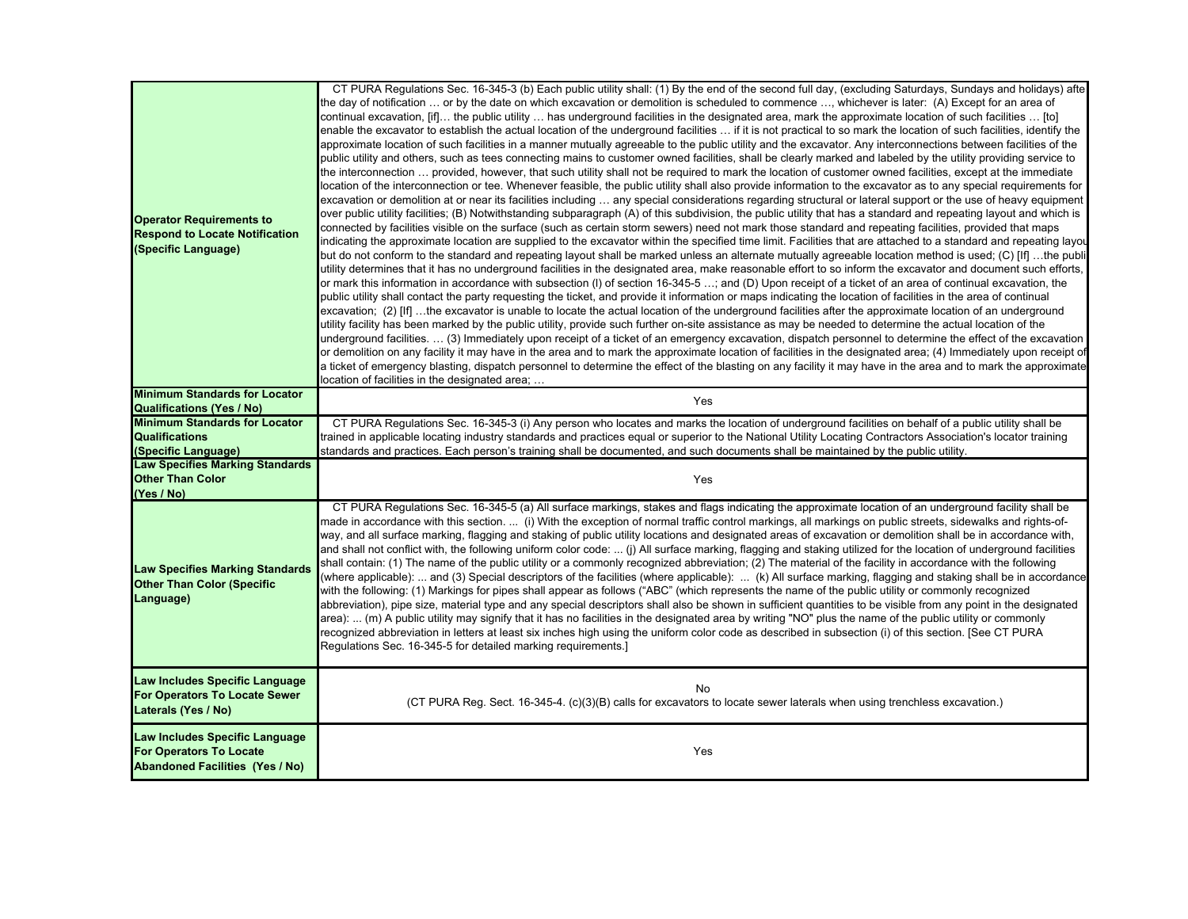| <b>Operator Requirements to</b><br><b>Respond to Locate Notification</b><br>(Specific Language)            | CT PURA Regulations Sec. 16-345-3 (b) Each public utility shall: (1) By the end of the second full day, (excluding Saturdays, Sundays and holidays) afte<br>the day of notification  or by the date on which excavation or demolition is scheduled to commence , whichever is later: (A) Except for an area of<br>continual excavation, [if] the public utility  has underground facilities in the designated area, mark the approximate location of such facilities  [to]<br>enable the excavator to establish the actual location of the underground facilities  if it is not practical to so mark the location of such facilities, identify the<br>approximate location of such facilities in a manner mutually agreeable to the public utility and the excavator. Any interconnections between facilities of the<br>public utility and others, such as tees connecting mains to customer owned facilities, shall be clearly marked and labeled by the utility providing service to<br>the interconnection  provided, however, that such utility shall not be required to mark the location of customer owned facilities, except at the immediate<br>location of the interconnection or tee. Whenever feasible, the public utility shall also provide information to the excavator as to any special requirements for<br>excavation or demolition at or near its facilities including … any special considerations regarding structural or lateral support or the use of heavy equipment<br>over public utility facilities; (B) Notwithstanding subparagraph (A) of this subdivision, the public utility that has a standard and repeating layout and which is<br>connected by facilities visible on the surface (such as certain storm sewers) need not mark those standard and repeating facilities, provided that maps<br>ndicating the approximate location are supplied to the excavator within the specified time limit. Facilities that are attached to a standard and repeating layou<br>but do not conform to the standard and repeating layout shall be marked unless an alternate mutually agreeable location method is used; (C) [If] …the publi<br>utility determines that it has no underground facilities in the designated area, make reasonable effort to so inform the excavator and document such efforts,<br>or mark this information in accordance with subsection (I) of section 16-345-5 …; and (D) Upon receipt of a ticket of an area of continual excavation, the<br>public utility shall contact the party requesting the ticket, and provide it information or maps indicating the location of facilities in the area of continual<br>excavation; (2) [If] …the excavator is unable to locate the actual location of the underground facilities after the approximate location of an underground<br>utility facility has been marked by the public utility, provide such further on-site assistance as may be needed to determine the actual location of the<br>underground facilities. … (3) Immediately upon receipt of a ticket of an emergency excavation, dispatch personnel to determine the effect of the excavation<br>or demolition on any facility it may have in the area and to mark the approximate location of facilities in the designated area; (4) Immediately upon receipt of<br>a ticket of emergency blasting, dispatch personnel to determine the effect of the blasting on any facility it may have in the area and to mark the approximate<br>location of facilities in the designated area; |
|------------------------------------------------------------------------------------------------------------|----------------------------------------------------------------------------------------------------------------------------------------------------------------------------------------------------------------------------------------------------------------------------------------------------------------------------------------------------------------------------------------------------------------------------------------------------------------------------------------------------------------------------------------------------------------------------------------------------------------------------------------------------------------------------------------------------------------------------------------------------------------------------------------------------------------------------------------------------------------------------------------------------------------------------------------------------------------------------------------------------------------------------------------------------------------------------------------------------------------------------------------------------------------------------------------------------------------------------------------------------------------------------------------------------------------------------------------------------------------------------------------------------------------------------------------------------------------------------------------------------------------------------------------------------------------------------------------------------------------------------------------------------------------------------------------------------------------------------------------------------------------------------------------------------------------------------------------------------------------------------------------------------------------------------------------------------------------------------------------------------------------------------------------------------------------------------------------------------------------------------------------------------------------------------------------------------------------------------------------------------------------------------------------------------------------------------------------------------------------------------------------------------------------------------------------------------------------------------------------------------------------------------------------------------------------------------------------------------------------------------------------------------------------------------------------------------------------------------------------------------------------------------------------------------------------------------------------------------------------------------------------------------------------------------------------------------------------------------------------------------------------------------------------------------------------------------------------------------------------------------------------------------------------------------------------------------------------------------------------------------------------------------------------------------------------------------------------------------------------------------------------------------------------------------------------------------------------------------------------------------------------------------------------------------|
| <b>Minimum Standards for Locator</b>                                                                       | Yes                                                                                                                                                                                                                                                                                                                                                                                                                                                                                                                                                                                                                                                                                                                                                                                                                                                                                                                                                                                                                                                                                                                                                                                                                                                                                                                                                                                                                                                                                                                                                                                                                                                                                                                                                                                                                                                                                                                                                                                                                                                                                                                                                                                                                                                                                                                                                                                                                                                                                                                                                                                                                                                                                                                                                                                                                                                                                                                                                                                                                                                                                                                                                                                                                                                                                                                                                                                                                                                                                                                                                |
| <b>Qualifications (Yes / No)</b>                                                                           |                                                                                                                                                                                                                                                                                                                                                                                                                                                                                                                                                                                                                                                                                                                                                                                                                                                                                                                                                                                                                                                                                                                                                                                                                                                                                                                                                                                                                                                                                                                                                                                                                                                                                                                                                                                                                                                                                                                                                                                                                                                                                                                                                                                                                                                                                                                                                                                                                                                                                                                                                                                                                                                                                                                                                                                                                                                                                                                                                                                                                                                                                                                                                                                                                                                                                                                                                                                                                                                                                                                                                    |
| <b>Minimum Standards for Locator</b><br><b>Qualifications</b>                                              | CT PURA Regulations Sec. 16-345-3 (i) Any person who locates and marks the location of underground facilities on behalf of a public utility shall be<br>trained in applicable locating industry standards and practices equal or superior to the National Utility Locating Contractors Association's locator training                                                                                                                                                                                                                                                                                                                                                                                                                                                                                                                                                                                                                                                                                                                                                                                                                                                                                                                                                                                                                                                                                                                                                                                                                                                                                                                                                                                                                                                                                                                                                                                                                                                                                                                                                                                                                                                                                                                                                                                                                                                                                                                                                                                                                                                                                                                                                                                                                                                                                                                                                                                                                                                                                                                                                                                                                                                                                                                                                                                                                                                                                                                                                                                                                              |
| (Specific Language)                                                                                        | standards and practices. Each person's training shall be documented, and such documents shall be maintained by the public utility.                                                                                                                                                                                                                                                                                                                                                                                                                                                                                                                                                                                                                                                                                                                                                                                                                                                                                                                                                                                                                                                                                                                                                                                                                                                                                                                                                                                                                                                                                                                                                                                                                                                                                                                                                                                                                                                                                                                                                                                                                                                                                                                                                                                                                                                                                                                                                                                                                                                                                                                                                                                                                                                                                                                                                                                                                                                                                                                                                                                                                                                                                                                                                                                                                                                                                                                                                                                                                 |
| <b>Law Specifies Marking Standards</b>                                                                     |                                                                                                                                                                                                                                                                                                                                                                                                                                                                                                                                                                                                                                                                                                                                                                                                                                                                                                                                                                                                                                                                                                                                                                                                                                                                                                                                                                                                                                                                                                                                                                                                                                                                                                                                                                                                                                                                                                                                                                                                                                                                                                                                                                                                                                                                                                                                                                                                                                                                                                                                                                                                                                                                                                                                                                                                                                                                                                                                                                                                                                                                                                                                                                                                                                                                                                                                                                                                                                                                                                                                                    |
| <b>Other Than Color</b>                                                                                    | Yes                                                                                                                                                                                                                                                                                                                                                                                                                                                                                                                                                                                                                                                                                                                                                                                                                                                                                                                                                                                                                                                                                                                                                                                                                                                                                                                                                                                                                                                                                                                                                                                                                                                                                                                                                                                                                                                                                                                                                                                                                                                                                                                                                                                                                                                                                                                                                                                                                                                                                                                                                                                                                                                                                                                                                                                                                                                                                                                                                                                                                                                                                                                                                                                                                                                                                                                                                                                                                                                                                                                                                |
| (Yes / No)                                                                                                 |                                                                                                                                                                                                                                                                                                                                                                                                                                                                                                                                                                                                                                                                                                                                                                                                                                                                                                                                                                                                                                                                                                                                                                                                                                                                                                                                                                                                                                                                                                                                                                                                                                                                                                                                                                                                                                                                                                                                                                                                                                                                                                                                                                                                                                                                                                                                                                                                                                                                                                                                                                                                                                                                                                                                                                                                                                                                                                                                                                                                                                                                                                                                                                                                                                                                                                                                                                                                                                                                                                                                                    |
| <b>Law Specifies Marking Standards</b><br><b>Other Than Color (Specific</b><br>Language)                   | CT PURA Regulations Sec. 16-345-5 (a) All surface markings, stakes and flags indicating the approximate location of an underground facility shall be<br>made in accordance with this section. … (i) With the exception of normal traffic control markings, all markings on public streets, sidewalks and rights-of-<br>way, and all surface marking, flagging and staking of public utility locations and designated areas of excavation or demolition shall be in accordance with,<br>and shall not conflict with, the following uniform color code:  (j) All surface marking, flagging and staking utilized for the location of underground facilities<br>shall contain: (1) The name of the public utility or a commonly recognized abbreviation; (2) The material of the facility in accordance with the following<br>(where applicable):  and (3) Special descriptors of the facilities (where applicable): … (k) All surface marking, flagging and staking shall be in accordance<br>with the following: (1) Markings for pipes shall appear as follows ("ABC" (which represents the name of the public utility or commonly recognized<br>abbreviation), pipe size, material type and any special descriptors shall also be shown in sufficient quantities to be visible from any point in the designated<br>area): … (m) A public utility may signify that it has no facilities in the designated area by writing "NO" plus the name of the public utility or commonly<br>ecognized abbreviation in letters at least six inches high using the uniform color code as described in subsection (i) of this section. [See CT PURA<br>Regulations Sec. 16-345-5 for detailed marking requirements.]                                                                                                                                                                                                                                                                                                                                                                                                                                                                                                                                                                                                                                                                                                                                                                                                                                                                                                                                                                                                                                                                                                                                                                                                                                                                                                                                                                                                                                                                                                                                                                                                                                                                                                                                                                                                                                             |
| Law Includes Specific Language<br><b>For Operators To Locate Sewer</b><br>Laterals (Yes / No)              | No<br>(CT PURA Reg. Sect. 16-345-4. (c)(3)(B) calls for excavators to locate sewer laterals when using trenchless excavation.)                                                                                                                                                                                                                                                                                                                                                                                                                                                                                                                                                                                                                                                                                                                                                                                                                                                                                                                                                                                                                                                                                                                                                                                                                                                                                                                                                                                                                                                                                                                                                                                                                                                                                                                                                                                                                                                                                                                                                                                                                                                                                                                                                                                                                                                                                                                                                                                                                                                                                                                                                                                                                                                                                                                                                                                                                                                                                                                                                                                                                                                                                                                                                                                                                                                                                                                                                                                                                     |
| Law Includes Specific Language<br><b>For Operators To Locate</b><br><b>Abandoned Facilities (Yes / No)</b> | Yes                                                                                                                                                                                                                                                                                                                                                                                                                                                                                                                                                                                                                                                                                                                                                                                                                                                                                                                                                                                                                                                                                                                                                                                                                                                                                                                                                                                                                                                                                                                                                                                                                                                                                                                                                                                                                                                                                                                                                                                                                                                                                                                                                                                                                                                                                                                                                                                                                                                                                                                                                                                                                                                                                                                                                                                                                                                                                                                                                                                                                                                                                                                                                                                                                                                                                                                                                                                                                                                                                                                                                |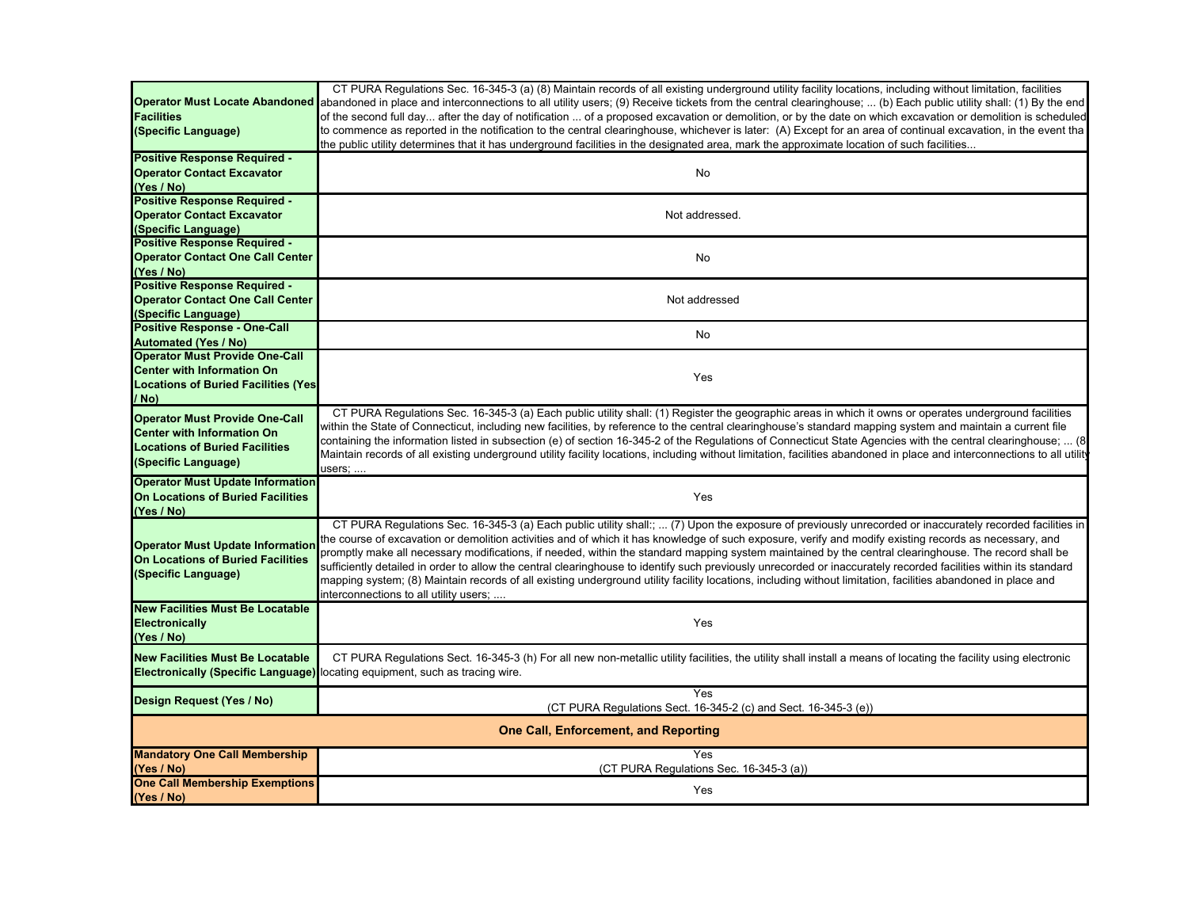|                                             | CT PURA Regulations Sec. 16-345-3 (a) (8) Maintain records of all existing underground utility facility locations, including without limitation, facilities                                                                                                                                                        |
|---------------------------------------------|--------------------------------------------------------------------------------------------------------------------------------------------------------------------------------------------------------------------------------------------------------------------------------------------------------------------|
| <b>Operator Must Locate Abandoned</b>       | abandoned in place and interconnections to all utility users; (9) Receive tickets from the central clearinghouse;  (b) Each public utility shall: (1) By the end                                                                                                                                                   |
| <b>Facilities</b>                           | of the second full day after the day of notification  of a proposed excavation or demolition, or by the date on which excavation or demolition is scheduled                                                                                                                                                        |
| (Specific Language)                         | to commence as reported in the notification to the central clearinghouse, whichever is later: (A) Except for an area of continual excavation, in the event tha                                                                                                                                                     |
|                                             | the public utility determines that it has underground facilities in the designated area, mark the approximate location of such facilities                                                                                                                                                                          |
| <b>Positive Response Required -</b>         |                                                                                                                                                                                                                                                                                                                    |
| <b>Operator Contact Excavator</b>           | No                                                                                                                                                                                                                                                                                                                 |
| (Yes / No)                                  |                                                                                                                                                                                                                                                                                                                    |
| <b>Positive Response Required -</b>         |                                                                                                                                                                                                                                                                                                                    |
| <b>Operator Contact Excavator</b>           | Not addressed.                                                                                                                                                                                                                                                                                                     |
| (Specific Language)                         |                                                                                                                                                                                                                                                                                                                    |
| Positive Response Required -                |                                                                                                                                                                                                                                                                                                                    |
| <b>Operator Contact One Call Center</b>     | No                                                                                                                                                                                                                                                                                                                 |
| (Yes / No)                                  |                                                                                                                                                                                                                                                                                                                    |
| Positive Response Required -                |                                                                                                                                                                                                                                                                                                                    |
| <b>Operator Contact One Call Center</b>     | Not addressed                                                                                                                                                                                                                                                                                                      |
| (Specific Language)                         |                                                                                                                                                                                                                                                                                                                    |
| <b>Positive Response - One-Call</b>         |                                                                                                                                                                                                                                                                                                                    |
| <b>Automated (Yes / No)</b>                 | No                                                                                                                                                                                                                                                                                                                 |
| <b>Operator Must Provide One-Call</b>       |                                                                                                                                                                                                                                                                                                                    |
| <b>Center with Information On</b>           |                                                                                                                                                                                                                                                                                                                    |
| <b>Locations of Buried Facilities (Yes)</b> | Yes                                                                                                                                                                                                                                                                                                                |
| / No)                                       |                                                                                                                                                                                                                                                                                                                    |
|                                             | CT PURA Regulations Sec. 16-345-3 (a) Each public utility shall: (1) Register the geographic areas in which it owns or operates underground facilities                                                                                                                                                             |
| <b>Operator Must Provide One-Call</b>       | within the State of Connecticut, including new facilities, by reference to the central clearinghouse's standard mapping system and maintain a current file                                                                                                                                                         |
| <b>Center with Information On</b>           | containing the information listed in subsection (e) of section 16-345-2 of the Regulations of Connecticut State Agencies with the central clearinghouse;  (8)                                                                                                                                                      |
| <b>Locations of Buried Facilities</b>       | Maintain records of all existing underground utility facility locations, including without limitation, facilities abandoned in place and interconnections to all utility                                                                                                                                           |
| (Specific Language)                         | users;                                                                                                                                                                                                                                                                                                             |
| <b>Operator Must Update Information</b>     |                                                                                                                                                                                                                                                                                                                    |
| <b>On Locations of Buried Facilities</b>    | Yes                                                                                                                                                                                                                                                                                                                |
| (Yes / No)                                  |                                                                                                                                                                                                                                                                                                                    |
|                                             | CT PURA Regulations Sec. 16-345-3 (a) Each public utility shall:;  (7) Upon the exposure of previously unrecorded or inaccurately recorded facilities in<br>the course of excavation or demolition activities and of which it has knowledge of such exposure, verify and modify existing records as necessary, and |
| <b>Operator Must Update Information</b>     | promptly make all necessary modifications, if needed, within the standard mapping system maintained by the central clearinghouse. The record shall be                                                                                                                                                              |
| <b>On Locations of Buried Facilities</b>    | sufficiently detailed in order to allow the central clearinghouse to identify such previously unrecorded or inaccurately recorded facilities within its standard                                                                                                                                                   |
| (Specific Language)                         | mapping system; (8) Maintain records of all existing underground utility facility locations, including without limitation, facilities abandoned in place and                                                                                                                                                       |
|                                             | interconnections to all utility users;                                                                                                                                                                                                                                                                             |
| <b>New Facilities Must Be Locatable</b>     |                                                                                                                                                                                                                                                                                                                    |
| <b>Electronically</b>                       | Yes                                                                                                                                                                                                                                                                                                                |
| (Yes / No)                                  |                                                                                                                                                                                                                                                                                                                    |
|                                             |                                                                                                                                                                                                                                                                                                                    |
| <b>New Facilities Must Be Locatable</b>     | CT PURA Regulations Sect. 16-345-3 (h) For all new non-metallic utility facilities, the utility shall install a means of locating the facility using electronic                                                                                                                                                    |
|                                             | <b>Electronically (Specific Language)</b> locating equipment, such as tracing wire.                                                                                                                                                                                                                                |
|                                             | Yes                                                                                                                                                                                                                                                                                                                |
| Design Request (Yes / No)                   | (CT PURA Regulations Sect. 16-345-2 (c) and Sect. 16-345-3 (e))                                                                                                                                                                                                                                                    |
|                                             | <b>One Call, Enforcement, and Reporting</b>                                                                                                                                                                                                                                                                        |
|                                             |                                                                                                                                                                                                                                                                                                                    |
| <b>Mandatory One Call Membership</b>        | Yes                                                                                                                                                                                                                                                                                                                |
| (Yes / No)                                  | (CT PURA Regulations Sec. 16-345-3 (a))                                                                                                                                                                                                                                                                            |
| <b>One Call Membership Exemptions</b>       | Yes                                                                                                                                                                                                                                                                                                                |
| (Yes / No)                                  |                                                                                                                                                                                                                                                                                                                    |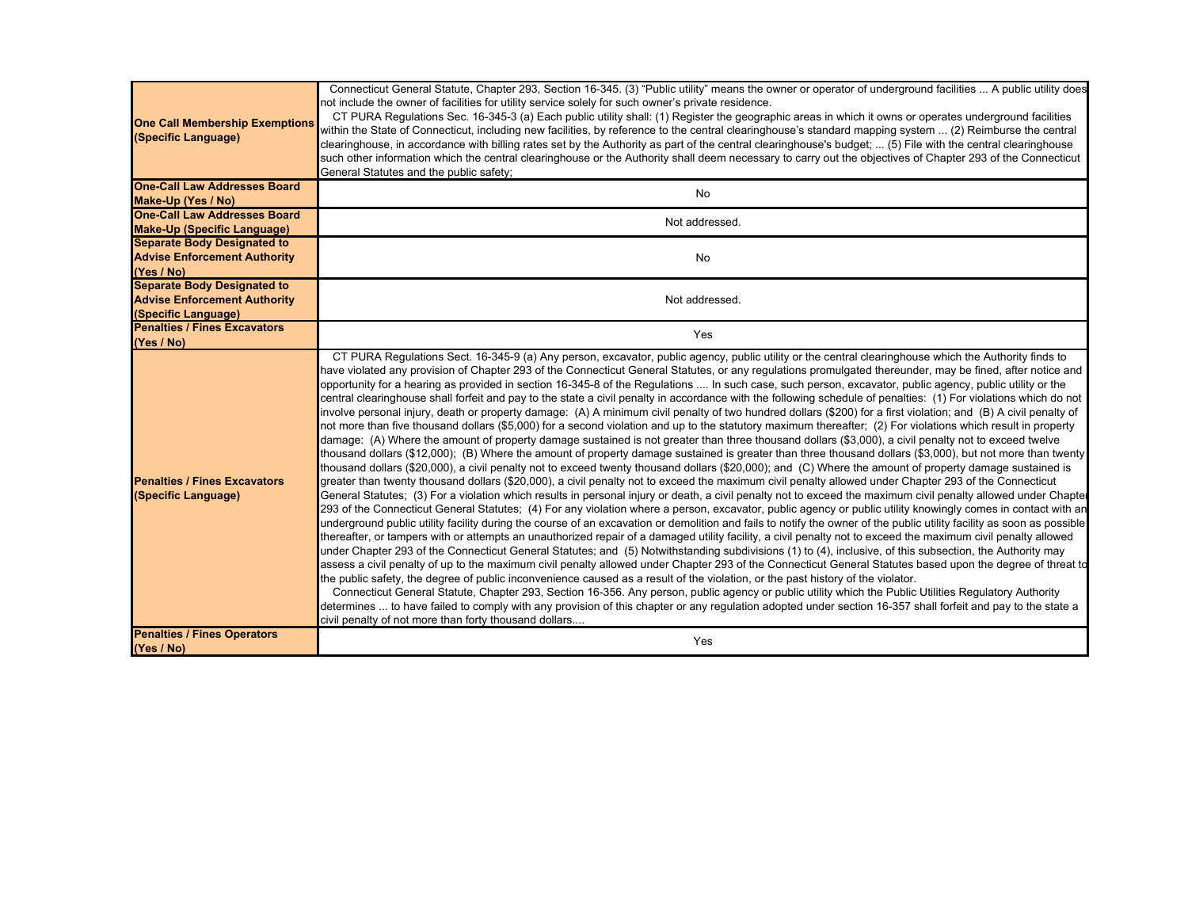| <b>One Call Membership Exemptions</b><br>(Specific Language) | Connecticut General Statute, Chapter 293, Section 16-345. (3) "Public utility" means the owner or operator of underground facilities  A public utility does<br>not include the owner of facilities for utility service solely for such owner's private residence.<br>CT PURA Regulations Sec. 16-345-3 (a) Each public utility shall: (1) Register the geographic areas in which it owns or operates underground facilities<br>within the State of Connecticut, including new facilities, by reference to the central clearinghouse's standard mapping system  (2) Reimburse the central<br>clearinghouse, in accordance with billing rates set by the Authority as part of the central clearinghouse's budget;  (5) File with the central clearinghouse<br>such other information which the central clearinghouse or the Authority shall deem necessary to carry out the objectives of Chapter 293 of the Connecticut<br>General Statutes and the public safety;                                                                                                                                                                                                                                                                                                                                                                                                                                                                                                                                                                                                                                                                                                                                                                                                                                                                                                                                                                                                                                                                                                                                                                                                                                                                                                                                                                                                                                                                                                                                                                                                                                                                                                                                                                                                                                                                                                                                                                                                                                                                                                                                                                                       |
|--------------------------------------------------------------|---------------------------------------------------------------------------------------------------------------------------------------------------------------------------------------------------------------------------------------------------------------------------------------------------------------------------------------------------------------------------------------------------------------------------------------------------------------------------------------------------------------------------------------------------------------------------------------------------------------------------------------------------------------------------------------------------------------------------------------------------------------------------------------------------------------------------------------------------------------------------------------------------------------------------------------------------------------------------------------------------------------------------------------------------------------------------------------------------------------------------------------------------------------------------------------------------------------------------------------------------------------------------------------------------------------------------------------------------------------------------------------------------------------------------------------------------------------------------------------------------------------------------------------------------------------------------------------------------------------------------------------------------------------------------------------------------------------------------------------------------------------------------------------------------------------------------------------------------------------------------------------------------------------------------------------------------------------------------------------------------------------------------------------------------------------------------------------------------------------------------------------------------------------------------------------------------------------------------------------------------------------------------------------------------------------------------------------------------------------------------------------------------------------------------------------------------------------------------------------------------------------------------------------------------------------------------------------------------------------------------------------------------------------------------------------------------------------------------------------------------------------------------------------------------------------------------------------------------------------------------------------------------------------------------------------------------------------------------------------------------------------------------------------------------------------------------------------------------------------------------------------------------------|
| <b>One-Call Law Addresses Board</b>                          | <b>No</b>                                                                                                                                                                                                                                                                                                                                                                                                                                                                                                                                                                                                                                                                                                                                                                                                                                                                                                                                                                                                                                                                                                                                                                                                                                                                                                                                                                                                                                                                                                                                                                                                                                                                                                                                                                                                                                                                                                                                                                                                                                                                                                                                                                                                                                                                                                                                                                                                                                                                                                                                                                                                                                                                                                                                                                                                                                                                                                                                                                                                                                                                                                                                               |
| Make-Up (Yes / No)                                           |                                                                                                                                                                                                                                                                                                                                                                                                                                                                                                                                                                                                                                                                                                                                                                                                                                                                                                                                                                                                                                                                                                                                                                                                                                                                                                                                                                                                                                                                                                                                                                                                                                                                                                                                                                                                                                                                                                                                                                                                                                                                                                                                                                                                                                                                                                                                                                                                                                                                                                                                                                                                                                                                                                                                                                                                                                                                                                                                                                                                                                                                                                                                                         |
| <b>One-Call Law Addresses Board</b>                          | Not addressed.                                                                                                                                                                                                                                                                                                                                                                                                                                                                                                                                                                                                                                                                                                                                                                                                                                                                                                                                                                                                                                                                                                                                                                                                                                                                                                                                                                                                                                                                                                                                                                                                                                                                                                                                                                                                                                                                                                                                                                                                                                                                                                                                                                                                                                                                                                                                                                                                                                                                                                                                                                                                                                                                                                                                                                                                                                                                                                                                                                                                                                                                                                                                          |
| <b>Make-Up (Specific Language)</b>                           |                                                                                                                                                                                                                                                                                                                                                                                                                                                                                                                                                                                                                                                                                                                                                                                                                                                                                                                                                                                                                                                                                                                                                                                                                                                                                                                                                                                                                                                                                                                                                                                                                                                                                                                                                                                                                                                                                                                                                                                                                                                                                                                                                                                                                                                                                                                                                                                                                                                                                                                                                                                                                                                                                                                                                                                                                                                                                                                                                                                                                                                                                                                                                         |
| <b>Separate Body Designated to</b>                           |                                                                                                                                                                                                                                                                                                                                                                                                                                                                                                                                                                                                                                                                                                                                                                                                                                                                                                                                                                                                                                                                                                                                                                                                                                                                                                                                                                                                                                                                                                                                                                                                                                                                                                                                                                                                                                                                                                                                                                                                                                                                                                                                                                                                                                                                                                                                                                                                                                                                                                                                                                                                                                                                                                                                                                                                                                                                                                                                                                                                                                                                                                                                                         |
| <b>Advise Enforcement Authority</b>                          | <b>No</b>                                                                                                                                                                                                                                                                                                                                                                                                                                                                                                                                                                                                                                                                                                                                                                                                                                                                                                                                                                                                                                                                                                                                                                                                                                                                                                                                                                                                                                                                                                                                                                                                                                                                                                                                                                                                                                                                                                                                                                                                                                                                                                                                                                                                                                                                                                                                                                                                                                                                                                                                                                                                                                                                                                                                                                                                                                                                                                                                                                                                                                                                                                                                               |
| (Yes / No)<br><b>Separate Body Designated to</b>             |                                                                                                                                                                                                                                                                                                                                                                                                                                                                                                                                                                                                                                                                                                                                                                                                                                                                                                                                                                                                                                                                                                                                                                                                                                                                                                                                                                                                                                                                                                                                                                                                                                                                                                                                                                                                                                                                                                                                                                                                                                                                                                                                                                                                                                                                                                                                                                                                                                                                                                                                                                                                                                                                                                                                                                                                                                                                                                                                                                                                                                                                                                                                                         |
| <b>Advise Enforcement Authority</b>                          | Not addressed.                                                                                                                                                                                                                                                                                                                                                                                                                                                                                                                                                                                                                                                                                                                                                                                                                                                                                                                                                                                                                                                                                                                                                                                                                                                                                                                                                                                                                                                                                                                                                                                                                                                                                                                                                                                                                                                                                                                                                                                                                                                                                                                                                                                                                                                                                                                                                                                                                                                                                                                                                                                                                                                                                                                                                                                                                                                                                                                                                                                                                                                                                                                                          |
| (Specific Language)                                          |                                                                                                                                                                                                                                                                                                                                                                                                                                                                                                                                                                                                                                                                                                                                                                                                                                                                                                                                                                                                                                                                                                                                                                                                                                                                                                                                                                                                                                                                                                                                                                                                                                                                                                                                                                                                                                                                                                                                                                                                                                                                                                                                                                                                                                                                                                                                                                                                                                                                                                                                                                                                                                                                                                                                                                                                                                                                                                                                                                                                                                                                                                                                                         |
| <b>Penalties / Fines Excavators</b>                          |                                                                                                                                                                                                                                                                                                                                                                                                                                                                                                                                                                                                                                                                                                                                                                                                                                                                                                                                                                                                                                                                                                                                                                                                                                                                                                                                                                                                                                                                                                                                                                                                                                                                                                                                                                                                                                                                                                                                                                                                                                                                                                                                                                                                                                                                                                                                                                                                                                                                                                                                                                                                                                                                                                                                                                                                                                                                                                                                                                                                                                                                                                                                                         |
| (Yes / No)                                                   | Yes                                                                                                                                                                                                                                                                                                                                                                                                                                                                                                                                                                                                                                                                                                                                                                                                                                                                                                                                                                                                                                                                                                                                                                                                                                                                                                                                                                                                                                                                                                                                                                                                                                                                                                                                                                                                                                                                                                                                                                                                                                                                                                                                                                                                                                                                                                                                                                                                                                                                                                                                                                                                                                                                                                                                                                                                                                                                                                                                                                                                                                                                                                                                                     |
| <b>Penalties / Fines Excavators</b><br>(Specific Language)   | CT PURA Regulations Sect. 16-345-9 (a) Any person, excavator, public agency, public utility or the central clearinghouse which the Authority finds to<br>have violated any provision of Chapter 293 of the Connecticut General Statutes, or any regulations promulgated thereunder, may be fined, after notice and<br>opportunity for a hearing as provided in section 16-345-8 of the Regulations  In such case, such person, excavator, public agency, public utility or the<br>central clearinghouse shall forfeit and pay to the state a civil penalty in accordance with the following schedule of penalties: (1) For violations which do not<br>involve personal injury, death or property damage: (A) A minimum civil penalty of two hundred dollars (\$200) for a first violation; and (B) A civil penalty of<br>not more than five thousand dollars (\$5,000) for a second violation and up to the statutory maximum thereafter; (2) For violations which result in property<br>damage: (A) Where the amount of property damage sustained is not greater than three thousand dollars (\$3,000), a civil penalty not to exceed twelve<br>thousand dollars (\$12,000); (B) Where the amount of property damage sustained is greater than three thousand dollars (\$3,000), but not more than twenty<br>thousand dollars (\$20,000), a civil penalty not to exceed twenty thousand dollars (\$20,000); and (C) Where the amount of property damage sustained is<br>greater than twenty thousand dollars (\$20,000), a civil penalty not to exceed the maximum civil penalty allowed under Chapter 293 of the Connecticut<br>General Statutes; (3) For a violation which results in personal injury or death, a civil penalty not to exceed the maximum civil penalty allowed under Chapte<br>293 of the Connecticut General Statutes; (4) For any violation where a person, excavator, public agency or public utility knowingly comes in contact with an<br>underground public utility facility during the course of an excavation or demolition and fails to notify the owner of the public utility facility as soon as possible<br>thereafter, or tampers with or attempts an unauthorized repair of a damaged utility facility, a civil penalty not to exceed the maximum civil penalty allowed<br>under Chapter 293 of the Connecticut General Statutes; and (5) Notwithstanding subdivisions (1) to (4), inclusive, of this subsection, the Authority may<br>assess a civil penalty of up to the maximum civil penalty allowed under Chapter 293 of the Connecticut General Statutes based upon the degree of threat to<br>the public safety, the degree of public inconvenience caused as a result of the violation, or the past history of the violator.<br>Connecticut General Statute, Chapter 293, Section 16-356. Any person, public agency or public utility which the Public Utilities Regulatory Authority<br>determines  to have failed to comply with any provision of this chapter or any regulation adopted under section 16-357 shall forfeit and pay to the state a<br>civil penalty of not more than forty thousand dollars |
| <b>Penalties / Fines Operators</b>                           | Yes                                                                                                                                                                                                                                                                                                                                                                                                                                                                                                                                                                                                                                                                                                                                                                                                                                                                                                                                                                                                                                                                                                                                                                                                                                                                                                                                                                                                                                                                                                                                                                                                                                                                                                                                                                                                                                                                                                                                                                                                                                                                                                                                                                                                                                                                                                                                                                                                                                                                                                                                                                                                                                                                                                                                                                                                                                                                                                                                                                                                                                                                                                                                                     |
| (Yes / No)                                                   |                                                                                                                                                                                                                                                                                                                                                                                                                                                                                                                                                                                                                                                                                                                                                                                                                                                                                                                                                                                                                                                                                                                                                                                                                                                                                                                                                                                                                                                                                                                                                                                                                                                                                                                                                                                                                                                                                                                                                                                                                                                                                                                                                                                                                                                                                                                                                                                                                                                                                                                                                                                                                                                                                                                                                                                                                                                                                                                                                                                                                                                                                                                                                         |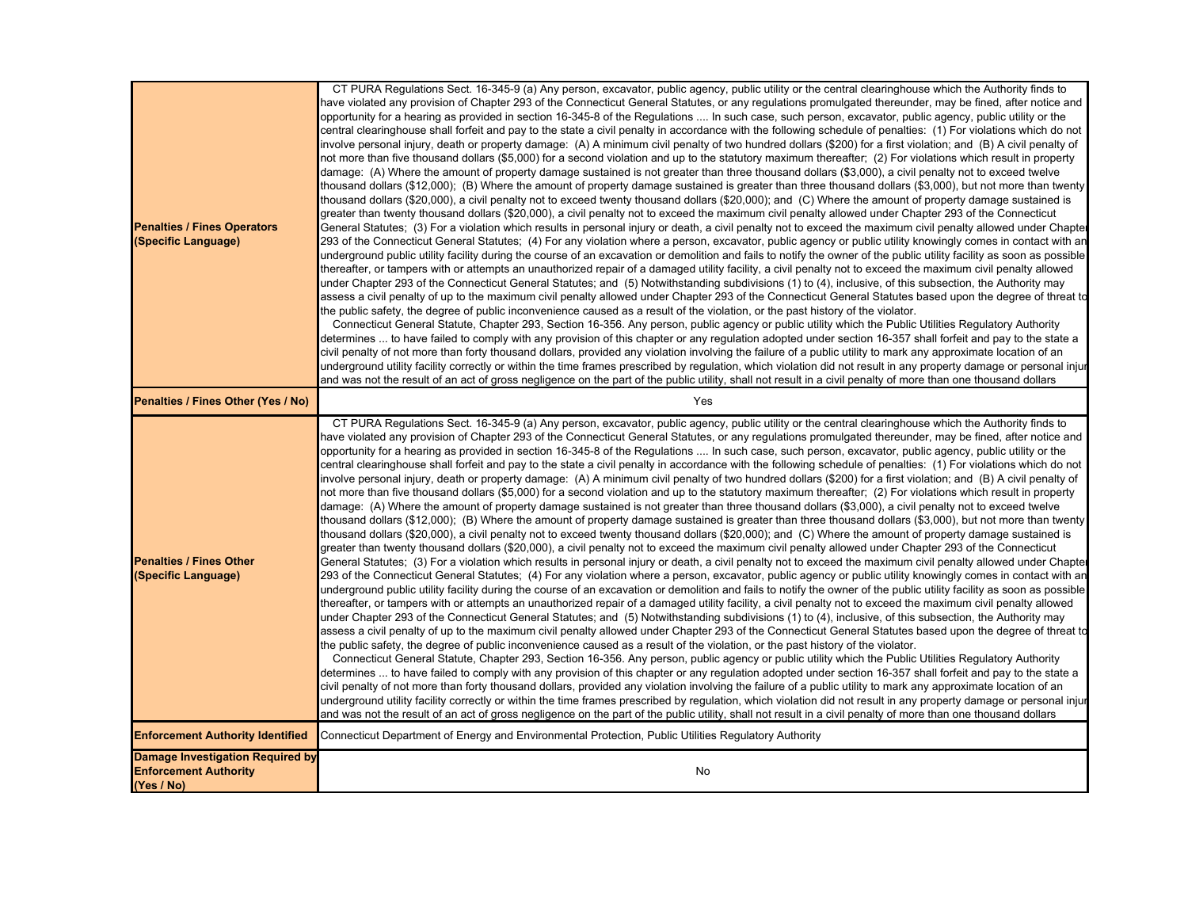| <b>Penalties / Fines Operators</b><br>(Specific Language)                             | CT PURA Regulations Sect. 16-345-9 (a) Any person, excavator, public agency, public utility or the central clearinghouse which the Authority finds to<br>have violated any provision of Chapter 293 of the Connecticut General Statutes, or any requlations promulgated thereunder, may be fined, after notice and<br>opportunity for a hearing as provided in section 16-345-8 of the Regulations  In such case, such person, excavator, public agency, public utility or the<br>central clearinghouse shall forfeit and pay to the state a civil penalty in accordance with the following schedule of penalties: (1) For violations which do not<br>involve personal injury, death or property damage: (A) A minimum civil penalty of two hundred dollars (\$200) for a first violation; and (B) A civil penalty of<br>not more than five thousand dollars (\$5,000) for a second violation and up to the statutory maximum thereafter; (2) For violations which result in property<br>damage: (A) Where the amount of property damage sustained is not greater than three thousand dollars (\$3,000), a civil penalty not to exceed twelve<br>thousand dollars (\$12,000); (B) Where the amount of property damage sustained is greater than three thousand dollars (\$3,000), but not more than twenty<br>thousand dollars (\$20,000), a civil penalty not to exceed twenty thousand dollars (\$20,000); and  (C) Where the amount of property damage sustained is<br>greater than twenty thousand dollars (\$20,000), a civil penalty not to exceed the maximum civil penalty allowed under Chapter 293 of the Connecticut<br>General Statutes: (3) For a violation which results in personal injury or death, a civil penalty not to exceed the maximum civil penalty allowed under Chapte<br>293 of the Connecticut General Statutes;  (4) For any violation where a person, excavator, public agency or public utility knowingly comes in contact with an<br>underground public utility facility during the course of an excavation or demolition and fails to notify the owner of the public utility facility as soon as possible<br>thereafter, or tampers with or attempts an unauthorized repair of a damaged utility facility, a civil penalty not to exceed the maximum civil penalty allowed<br>under Chapter 293 of the Connecticut General Statutes; and (5) Notwithstanding subdivisions (1) to (4), inclusive, of this subsection, the Authority may<br>assess a civil penalty of up to the maximum civil penalty allowed under Chapter 293 of the Connecticut General Statutes based upon the degree of threat to<br>the public safety, the degree of public inconvenience caused as a result of the violation, or the past history of the violator.<br>Connecticut General Statute, Chapter 293, Section 16-356. Any person, public agency or public utility which the Public Utilities Regulatory Authority<br>determines  to have failed to comply with any provision of this chapter or any regulation adopted under section 16-357 shall forfeit and pay to the state a<br>civil penalty of not more than forty thousand dollars, provided any violation involving the failure of a public utility to mark any approximate location of an<br>underground utility facility correctly or within the time frames prescribed by regulation, which violation did not result in any property damage or personal injur<br>and was not the result of an act of gross negligence on the part of the public utility, shall not result in a civil penalty of more than one thousand dollars |
|---------------------------------------------------------------------------------------|-----------------------------------------------------------------------------------------------------------------------------------------------------------------------------------------------------------------------------------------------------------------------------------------------------------------------------------------------------------------------------------------------------------------------------------------------------------------------------------------------------------------------------------------------------------------------------------------------------------------------------------------------------------------------------------------------------------------------------------------------------------------------------------------------------------------------------------------------------------------------------------------------------------------------------------------------------------------------------------------------------------------------------------------------------------------------------------------------------------------------------------------------------------------------------------------------------------------------------------------------------------------------------------------------------------------------------------------------------------------------------------------------------------------------------------------------------------------------------------------------------------------------------------------------------------------------------------------------------------------------------------------------------------------------------------------------------------------------------------------------------------------------------------------------------------------------------------------------------------------------------------------------------------------------------------------------------------------------------------------------------------------------------------------------------------------------------------------------------------------------------------------------------------------------------------------------------------------------------------------------------------------------------------------------------------------------------------------------------------------------------------------------------------------------------------------------------------------------------------------------------------------------------------------------------------------------------------------------------------------------------------------------------------------------------------------------------------------------------------------------------------------------------------------------------------------------------------------------------------------------------------------------------------------------------------------------------------------------------------------------------------------------------------------------------------------------------------------------------------------------------------------------------------------------------------------------------------------------------------------------------------------------------------------------------------------------------------------------------------------------------------------------------------------------------------------------------------------------------------------------------------------------------------------------------------------------------------------------------------|
| Penalties / Fines Other (Yes / No)                                                    | Yes                                                                                                                                                                                                                                                                                                                                                                                                                                                                                                                                                                                                                                                                                                                                                                                                                                                                                                                                                                                                                                                                                                                                                                                                                                                                                                                                                                                                                                                                                                                                                                                                                                                                                                                                                                                                                                                                                                                                                                                                                                                                                                                                                                                                                                                                                                                                                                                                                                                                                                                                                                                                                                                                                                                                                                                                                                                                                                                                                                                                                                                                                                                                                                                                                                                                                                                                                                                                                                                                                                                                                                                                       |
| <b>Penalties / Fines Other</b><br>(Specific Language)                                 | CT PURA Regulations Sect. 16-345-9 (a) Any person, excavator, public agency, public utility or the central clearinghouse which the Authority finds to<br>have violated any provision of Chapter 293 of the Connecticut General Statutes, or any requlations promulgated thereunder, may be fined, after notice and<br>opportunity for a hearing as provided in section 16-345-8 of the Regulations  In such case, such person, excavator, public agency, public utility or the<br>central clearinghouse shall forfeit and pay to the state a civil penalty in accordance with the following schedule of penalties: (1) For violations which do not<br>involve personal injury, death or property damage: (A) A minimum civil penalty of two hundred dollars (\$200) for a first violation; and (B) A civil penalty of<br>not more than five thousand dollars (\$5,000) for a second violation and up to the statutory maximum thereafter; (2) For violations which result in property<br>damage: (A) Where the amount of property damage sustained is not greater than three thousand dollars (\$3,000), a civil penalty not to exceed twelve<br>thousand dollars (\$12,000); (B) Where the amount of property damage sustained is greater than three thousand dollars (\$3,000), but not more than twenty<br>thousand dollars (\$20,000), a civil penalty not to exceed twenty thousand dollars (\$20,000); and  (C) Where the amount of property damage sustained is<br>greater than twenty thousand dollars (\$20,000), a civil penalty not to exceed the maximum civil penalty allowed under Chapter 293 of the Connecticut<br>General Statutes; (3) For a violation which results in personal injury or death, a civil penalty not to exceed the maximum civil penalty allowed under Chaptel<br>293 of the Connecticut General Statutes; (4) For any violation where a person, excavator, public agency or public utility knowingly comes in contact with an<br>underground public utility facility during the course of an excavation or demolition and fails to notify the owner of the public utility facility as soon as possible<br>thereafter, or tampers with or attempts an unauthorized repair of a damaged utility facility, a civil penalty not to exceed the maximum civil penalty allowed<br>under Chapter 293 of the Connecticut General Statutes; and (5) Notwithstanding subdivisions (1) to (4), inclusive, of this subsection, the Authority may<br>assess a civil penalty of up to the maximum civil penalty allowed under Chapter 293 of the Connecticut General Statutes based upon the degree of threat to<br>the public safety, the degree of public inconvenience caused as a result of the violation, or the past history of the violator.<br>Connecticut General Statute, Chapter 293, Section 16-356. Any person, public agency or public utility which the Public Utilities Regulatory Authority<br>determines  to have failed to comply with any provision of this chapter or any regulation adopted under section 16-357 shall forfeit and pay to the state a<br>civil penalty of not more than forty thousand dollars, provided any violation involving the failure of a public utility to mark any approximate location of an<br>underground utility facility correctly or within the time frames prescribed by regulation, which violation did not result in any property damage or personal injur<br>and was not the result of an act of gross negligence on the part of the public utility, shall not result in a civil penalty of more than one thousand dollars |
| <b>Enforcement Authority Identified</b>                                               | Connecticut Department of Energy and Environmental Protection, Public Utilities Regulatory Authority                                                                                                                                                                                                                                                                                                                                                                                                                                                                                                                                                                                                                                                                                                                                                                                                                                                                                                                                                                                                                                                                                                                                                                                                                                                                                                                                                                                                                                                                                                                                                                                                                                                                                                                                                                                                                                                                                                                                                                                                                                                                                                                                                                                                                                                                                                                                                                                                                                                                                                                                                                                                                                                                                                                                                                                                                                                                                                                                                                                                                                                                                                                                                                                                                                                                                                                                                                                                                                                                                                      |
| <b>Damage Investigation Required by</b><br><b>Enforcement Authority</b><br>(Yes / No) | No                                                                                                                                                                                                                                                                                                                                                                                                                                                                                                                                                                                                                                                                                                                                                                                                                                                                                                                                                                                                                                                                                                                                                                                                                                                                                                                                                                                                                                                                                                                                                                                                                                                                                                                                                                                                                                                                                                                                                                                                                                                                                                                                                                                                                                                                                                                                                                                                                                                                                                                                                                                                                                                                                                                                                                                                                                                                                                                                                                                                                                                                                                                                                                                                                                                                                                                                                                                                                                                                                                                                                                                                        |